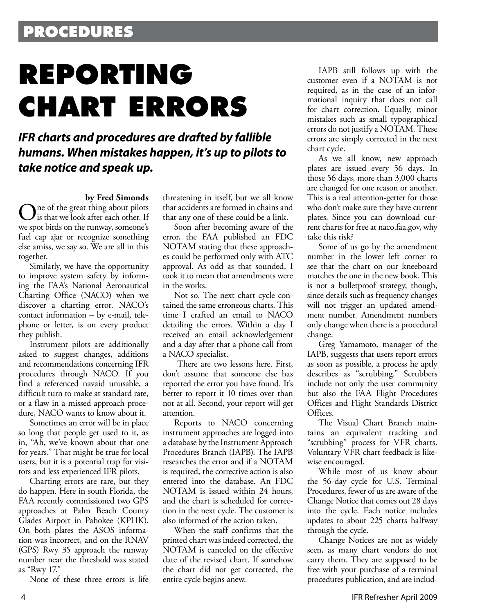## **PROCEDURES**

# **REPORTING CHART ERRORS**

### *IFR charts and procedures are drafted by fallible humans. When mistakes happen, it's up to pilots to take notice and speak up.*

**by Fred Simonds** The of the great thing about pilots is that we look after each other. If we spot birds on the runway, someone's fuel cap ajar or recognize something else amiss, we say so. We are all in this together.

Similarly, we have the opportunity to improve system safety by informing the FAA's National Aeronautical Charting Office (NACO) when we discover a charting error. NACO's contact information – by e-mail, telephone or letter, is on every product they publish.

Instrument pilots are additionally asked to suggest changes, additions and recommendations concerning IFR procedures through NACO. If you find a referenced navaid unusable, a difficult turn to make at standard rate, or a flaw in a missed approach procedure, NACO wants to know about it.

Sometimes an error will be in place so long that people get used to it, as in, "Ah, we've known about that one for years." That might be true for local users, but it is a potential trap for visitors and less experienced IFR pilots.

Charting errors are rare, but they do happen. Here in south Florida, the FAA recently commissioned two GPS approaches at Palm Beach County Glades Airport in Pahokee (KPHK). On both plates the ASOS information was incorrect, and on the RNAV (GPS) Rwy 35 approach the runway number near the threshold was stated as "Rwy 17."

None of these three errors is life

threatening in itself, but we all know that accidents are formed in chains and that any one of these could be a link.

Soon after becoming aware of the error, the FAA published an FDC NOTAM stating that these approaches could be performed only with ATC approval. As odd as that sounded, I took it to mean that amendments were in the works.

Not so. The next chart cycle contained the same erroneous charts. This time I crafted an email to NACO detailing the errors. Within a day I received an email acknowledgement and a day after that a phone call from a NACO specialist.

 There are two lessons here. First, don't assume that someone else has reported the error you have found. It's better to report it 10 times over than not at all. Second, your report will get attention.

Reports to NACO concerning instrument approaches are logged into a database by the Instrument Approach Procedures Branch (IAPB). The IAPB researches the error and if a NOTAM is required, the corrective action is also entered into the database. An FDC NOTAM is issued within 24 hours, and the chart is scheduled for correction in the next cycle. The customer is also informed of the action taken.

When the staff confirms that the printed chart was indeed corrected, the NOTAM is canceled on the effective date of the revised chart. If somehow the chart did not get corrected, the entire cycle begins anew.

IAPB still follows up with the customer even if a NOTAM is not required, as in the case of an informational inquiry that does not call for chart correction. Equally, minor mistakes such as small typographical errors do not justify a NOTAM. These errors are simply corrected in the next chart cycle.

As we all know, new approach plates are issued every 56 days. In those 56 days, more than 3,000 charts are changed for one reason or another. This is a real attention-getter for those who don't make sure they have current plates. Since you can download current charts for free at naco.faa.gov, why take this risk?

Some of us go by the amendment number in the lower left corner to see that the chart on our kneeboard matches the one in the new book. This is not a bulletproof strategy, though, since details such as frequency changes will not trigger an updated amendment number. Amendment numbers only change when there is a procedural change.

Greg Yamamoto, manager of the IAPB, suggests that users report errors as soon as possible, a process he aptly describes as "scrubbing." Scrubbers include not only the user community but also the FAA Flight Procedures Offices and Flight Standards District Offices.

The Visual Chart Branch maintains an equivalent tracking and "scrubbing" process for VFR charts. Voluntary VFR chart feedback is likewise encouraged.

While most of us know about the 56-day cycle for U.S. Terminal Procedures, fewer of us are aware of the Change Notice that comes out 28 days into the cycle. Each notice includes updates to about 225 charts halfway through the cycle.

Change Notices are not as widely seen, as many chart vendors do not carry them. They are supposed to be free with your purchase of a terminal procedures publication, and are includ-